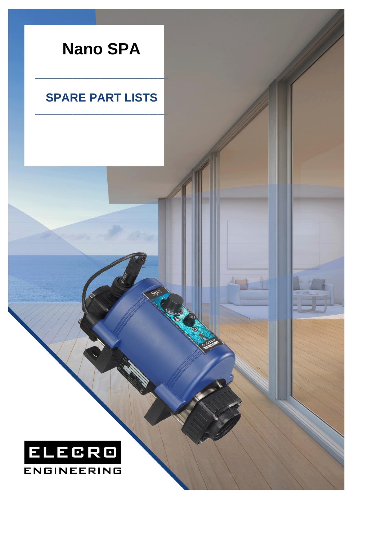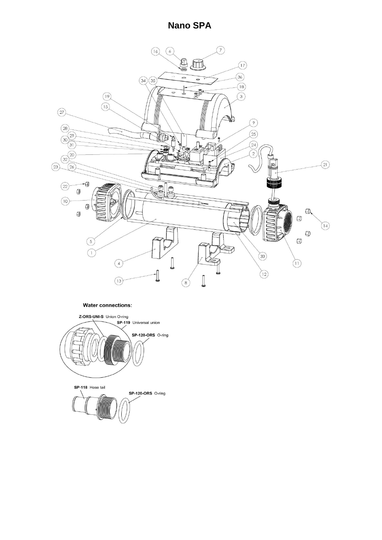## **Nano SPA**



## **Water connections:**

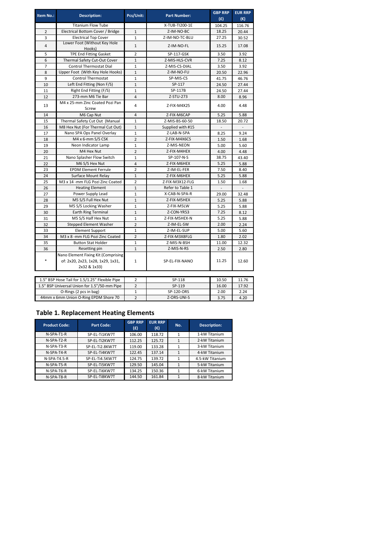| Item No.:                                      | <b>Description:</b>                                                                      | Pcs/Unit:               | <b>Part Number:</b> | <b>GBP RRP</b><br>(E) | <b>EUR RRP</b><br>$(\epsilon)$ |  |  |  |  |
|------------------------------------------------|------------------------------------------------------------------------------------------|-------------------------|---------------------|-----------------------|--------------------------------|--|--|--|--|
|                                                | <b>Titanium Flow Tube</b>                                                                |                         | X-TUB-TI200-1E      | 104.25                | 116.76                         |  |  |  |  |
| $\overline{2}$                                 | Electrical Bottom Cover / Bridge                                                         | $1\,$                   | Z-IM-NO-BC          | 18.25                 | 20.44                          |  |  |  |  |
| 3                                              | <b>Electrical Top Cover</b>                                                              | $\mathbf{1}$            | Z-IM-NO-TC-BLU      | 27.25                 | 30.52                          |  |  |  |  |
| $\overline{\mathbf{4}}$                        | Lower Foot (Without Key Hole<br>Hooks)                                                   | $\mathbf{1}$            | Z-IM-NO-FL          | 15.25                 | 17.08                          |  |  |  |  |
| 5                                              | <b>TPE End Fitting Gasket</b>                                                            | $\overline{2}$          | SP-117-GSK          | 3.50                  | 3.92                           |  |  |  |  |
| 6                                              | Thermal Safety Cut-Out Cover                                                             | $\mathbf{1}$            | Z-MIS-HLS-CVR       | 7.25                  | 8.12                           |  |  |  |  |
| $\overline{7}$                                 | <b>Control Thermostat Dial</b>                                                           | $\mathbf 1$             | Z-MIS-CS-DIAL       | 3.50                  | 3.92                           |  |  |  |  |
| 8                                              | Upper Foot (With Key Hole Hooks)                                                         | $\mathbf 1$             | Z-IM-NO-FU          | 20.50                 | 22.96                          |  |  |  |  |
| 9                                              | <b>Control Thermostat</b>                                                                | $\mathbf{1}$            | SP-MIS-CS           | 41.75                 | 46.76                          |  |  |  |  |
| 10                                             | Left End Fitting (Non F/S)                                                               | $\mathbf{1}$            | SP-117              | 24.50                 | 27.44                          |  |  |  |  |
| 11                                             | Right End Fitting (F/S)                                                                  | $\mathbf{1}$            | SP-117B             | 24.50                 | 27.44                          |  |  |  |  |
| 12                                             | 273-mm M6 Tie Bar                                                                        | $\overline{\mathbf{4}}$ | Z-STU-273           | 8.00                  | 8.96                           |  |  |  |  |
| 13                                             | M4 x 25-mm Zinc Coated Pozi Pan<br>Screw                                                 | 4                       | Z-FIX-M4X25         | 4.00                  | 4.48                           |  |  |  |  |
| 14                                             | M6 Cap Nut                                                                               | $\overline{4}$          | Z-FIX-M6CAP         | 5.25                  | 5.88                           |  |  |  |  |
| 15                                             | Thermal Safety Cut Out (Manual                                                           | $\mathbf{1}$            | Z-MIS-BS-60-50      | 18.50                 | 20.72                          |  |  |  |  |
| 16                                             | M8 Hex Nut (For Thermal Cut Out)                                                         | $\mathbf{1}$            | Supplied with #15   |                       |                                |  |  |  |  |
| 17                                             | Nano SPA Ops Panel Overlay                                                               | $\mathbf 1$             | Z-LAB-N-SPA         | 8.25                  | 9.24                           |  |  |  |  |
| 18                                             | M4 x 6-mm S/S CSK                                                                        | $\overline{2}$          | Z-FIX-M4X6CS        | 1.50                  | 1.68                           |  |  |  |  |
| 19                                             | Neon Indicator Lamp                                                                      | $\mathbf{1}$            | Z-MIS-NEON          | 5.00                  | 5.60                           |  |  |  |  |
| 20                                             | M4 Hex Nut                                                                               | $\overline{2}$          | Z-FIX-M4HEX         | 4.00                  | 4.48                           |  |  |  |  |
| 21                                             | Nano Splasher Flow Switch                                                                | $\mathbf{1}$            | SP-107-N-S          | 38.75                 | 43.40                          |  |  |  |  |
| 22                                             | M6 S/S Hex Nut                                                                           | $\sqrt{4}$              | Z-FIX-M6HEX         | 5.25                  | 5.88                           |  |  |  |  |
| 23                                             | <b>EPDM Element Ferrule</b>                                                              | $\overline{2}$          | Z-IM-EL-FER         | 7.50                  | 8.40                           |  |  |  |  |
| 24                                             | Surface Mount Relay                                                                      | $\mathbf{1}$            | Z-FIX-M6HEX         | 5.25                  | 5.88                           |  |  |  |  |
| 25                                             | M3 x 14 -mm FLG Pozi Zinc Coated                                                         | $\overline{2}$          | Z-FIX-M3X12-FLG     | 1.50                  | 1.68                           |  |  |  |  |
| 26                                             | <b>Heating Element</b>                                                                   | $\mathbf{1}$            | Refer to Table 1    |                       | $\overline{\phantom{a}}$       |  |  |  |  |
| 27                                             | Power Supply Lead                                                                        | $\mathbf{1}$            | X-CAB-N-SPA-R       | 29.00                 | 32.48                          |  |  |  |  |
| 28                                             | M5 S/S Full Hex Nut                                                                      | $\mathbf{1}$            | Z-FIX-M5HEX         | 5.25                  | 5.88                           |  |  |  |  |
| 29                                             | M5 S/S Locking Washer                                                                    | $\mathbf{1}$            | Z-FIX-M5LW          | 5.25                  | 5.88                           |  |  |  |  |
| 30                                             | <b>Earth Ring Terminal</b>                                                               | $\mathbf{1}$            | Z-CON-YR53          | 7.25                  | 8.12                           |  |  |  |  |
| 31                                             | M5 S/S Half Hex Nut                                                                      | $\mathbf{1}$            | Z-FIX-M5HEX-N       | 5.25                  | 5.88                           |  |  |  |  |
| 32                                             | <b>Stepped Element Washer</b>                                                            | $\overline{2}$          | Z-IM-EL-SW          | 2.00                  | 2.24                           |  |  |  |  |
| 33                                             | <b>Element Support</b>                                                                   | $\mathbf{1}$            | Z-IM-EL-SUP         | 5.00                  | 5.60                           |  |  |  |  |
| 34                                             | M3 x 8 -mm FLG Pozi Zinc Coated                                                          | $\overline{2}$          | Z-FIX-M3X8FLG       | 1.80                  | 2.02                           |  |  |  |  |
| 35                                             | <b>Button Stat Holder</b>                                                                | $\mathbf{1}$            | Z-MIS-N-BSH         | 11.00                 | 12.32                          |  |  |  |  |
| 36                                             | Resetting pin                                                                            | $\mathbf 1$             | Z-MIS-N-RS          | 2.50                  | 2.80                           |  |  |  |  |
| $\ast$                                         | Nano Element Fixing Kit (Comprising<br>of: 2x20, 2x23, 1x28, 1x29, 1x31,<br>2x32 & 1x33) | $\mathbf{1}$            | SP-EL-FIX-NANO      | 11.25                 | 12.60                          |  |  |  |  |
|                                                |                                                                                          |                         |                     |                       |                                |  |  |  |  |
| 1.5" BSP Hose Tail for 1.5/1.25" Flexible Pipe |                                                                                          | 2                       | SP-118              | 10.50                 | 11.76                          |  |  |  |  |
| 1.5" BSP Universal Union for 1.5"/50-mm Pipe   |                                                                                          | $\overline{2}$          | SP-119              | 16.00                 | 17.92                          |  |  |  |  |

## **Table 1. Replacement Heating Elements**

44mm x 6mm Union O-Ring EPDM Shore 70 O-Rings (2 pcs in bag)

| <b>Product Code:</b> | <b>Part Code:</b> | <b>GBP RRP</b><br>(E) | <b>EUR RRP</b><br>(€) | No. | <b>Description:</b> |  |
|----------------------|-------------------|-----------------------|-----------------------|-----|---------------------|--|
| N-SPA-T1-R           | SP-EL-Ti1KW7T     | 106.00                | 118.72                |     | 1-kW Titanium       |  |
| $N-SPA-T2-R$         | SP-EL-Ti2KW7T     | 112.25                | 125.72                |     | 2-kW Titanium       |  |
| N-SPA-T3-R           | SP-EL-Ti2.8KW7T   | 119.00                | 133.28                |     | 3-kW Titanium       |  |
| N-SPA-T4-R           | SP-EL-Ti4KW7T     | 122.45                | 137.14                |     | 4-kW Titanium       |  |
| $N-SPA-T4.5-R$       | SP-EL-Ti4.5KW7T   | 124.75                | 139.72                |     | 4.5-kW Titanium     |  |
| $N-SPA-T5-R$         | SP-EL-TI5KW7T     | 129.50                | 145.04                |     | 5-kW Titanium       |  |
| N-SPA-T6-R           | SP-EL-TI6KW7T     | 134.25                | 150.36                | 1   | 6-kW Titanium       |  |
| N-SPA-T8-R           | SP-EL-TI8KW7T     | 144.50                | 161.84                |     | 8-kW Titanium       |  |

2 16.00 17.92 SP-119 1 2.00 2.24 SP-120-ORS 2 3.75 4.20 Z-ORS-UNI-S